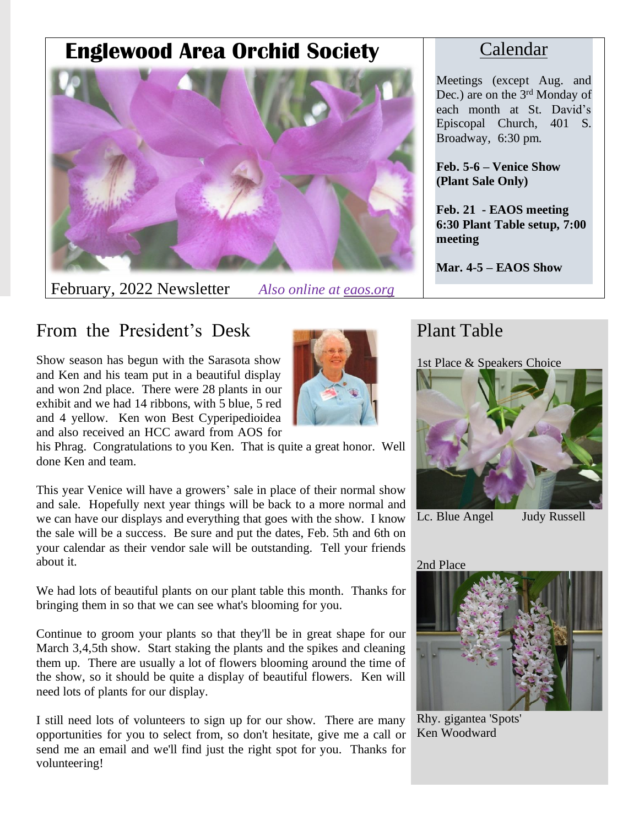# **Englewood Area Orchid Society**



February, 2022 Newsletter *Also online at eaos.org*

### Calendar

Meetings (except Aug. and Dec.) are on the 3<sup>rd</sup> Monday of each month at St. David's Episcopal Church, 401 S. Broadway, 6:30 pm.

**Feb. 5-6 – Venice Show (Plant Sale Only)**

**Feb. 21 - EAOS meeting 6:30 Plant Table setup, 7:00 meeting**

**Mar. 4-5 – EAOS Show**

# From the President's Desk

Show season has begun with the Sarasota show and Ken and his team put in a beautiful display and won 2nd place. There were 28 plants in our exhibit and we had 14 ribbons, with 5 blue, 5 red and 4 yellow. Ken won Best Cyperipedioidea and also received an HCC award from AOS for



his Phrag. Congratulations to you Ken. That is quite a great honor. Well done Ken and team.

This year Venice will have a growers' sale in place of their normal show and sale. Hopefully next year things will be back to a more normal and we can have our displays and everything that goes with the show. I know the sale will be a success. Be sure and put the dates, Feb. 5th and 6th on your calendar as their vendor sale will be outstanding. Tell your friends about it.

We had lots of beautiful plants on our plant table this month. Thanks for bringing them in so that we can see what's blooming for you.

Continue to groom your plants so that they'll be in great shape for our March 3,4,5th show. Start staking the plants and the spikes and cleaning them up. There are usually a lot of flowers blooming around the time of the show, so it should be quite a display of beautiful flowers. Ken will need lots of plants for our display.

I still need lots of volunteers to sign up for our show. There are many opportunities for you to select from, so don't hesitate, give me a call or send me an email and we'll find just the right spot for you. Thanks for volunteering!

## Plant Table

1st Place & Speakers Choice



Lc. Blue Angel Judy Russell

#### 2nd Place



Rhy. gigantea 'Spots' Ken Woodward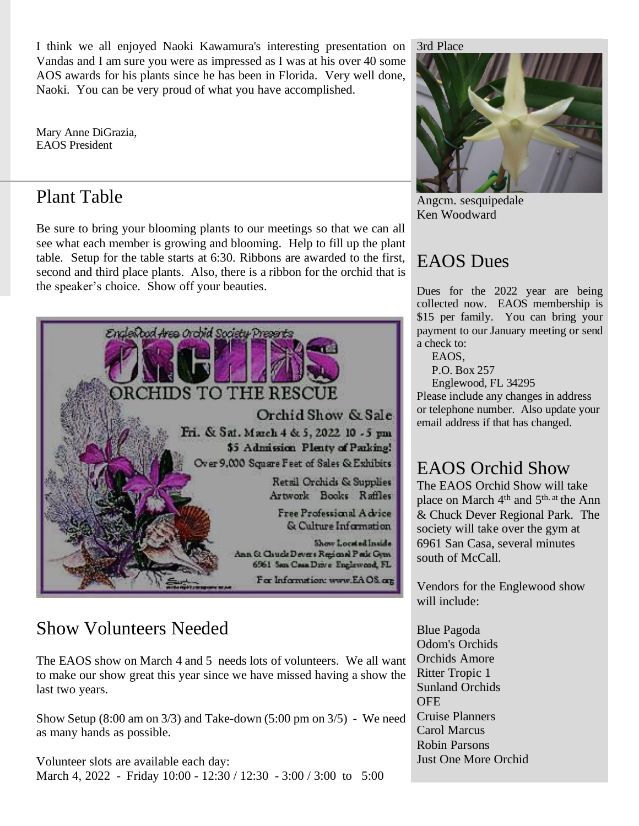I think we all enjoyed Naoki Kawamura's interesting presentation on Vandas and I am sure you were as impressed as I was at his over 40 some AOS awards for his plants since he has been in Florida. Very well done, Naoki. You can be very proud of what you have accomplished.

Mary Anne DiGrazia, EAOS President

### Plant Table

Be sure to bring your blooming plants to our meetings so that we can all see what each member is growing and blooming. Help to fill up the plant table. Setup for the table starts at 6:30. Ribbons are awarded to the first, second and third place plants. Also, there is a ribbon for the orchid that is the speaker's choice. Show off your beauties.



## Show Volunteers Needed

The EAOS show on March 4 and 5 needs lots of volunteers. We all want to make our show great this year since we have missed having a show the last two years.

Show Setup (8:00 am on 3/3) and Take-down (5:00 pm on 3/5) - We need as many hands as possible.

Volunteer slots are available each day: March 4, 2022 - Friday 10:00 - 12:30 / 12:30 - 3:00 / 3:00 to 5:00 3rd Place



Angcm. sesquipedale Ken Woodward

# EAOS Dues

Dues for the 2022 year are being collected now. EAOS membership is \$15 per family. You can bring your payment to our January meeting or send a check to:

EAOS,

P.O. Box 257

Englewood, FL 34295

Please include any changes in address or telephone number. Also update your email address if that has changed.

## EAOS Orchid Show

The EAOS Orchid Show will take place on March 4<sup>th</sup> and 5<sup>th. at</sup> the Ann & Chuck Dever Regional Park. The society will take over the gym at 6961 San Casa, several minutes south of McCall.

Vendors for the Englewood show will include:

Blue Pagoda Odom's Orchids Orchids Amore Ritter Tropic 1 Sunland Orchids **OFE** Cruise Planners Carol Marcus Robin Parsons Just One More Orchid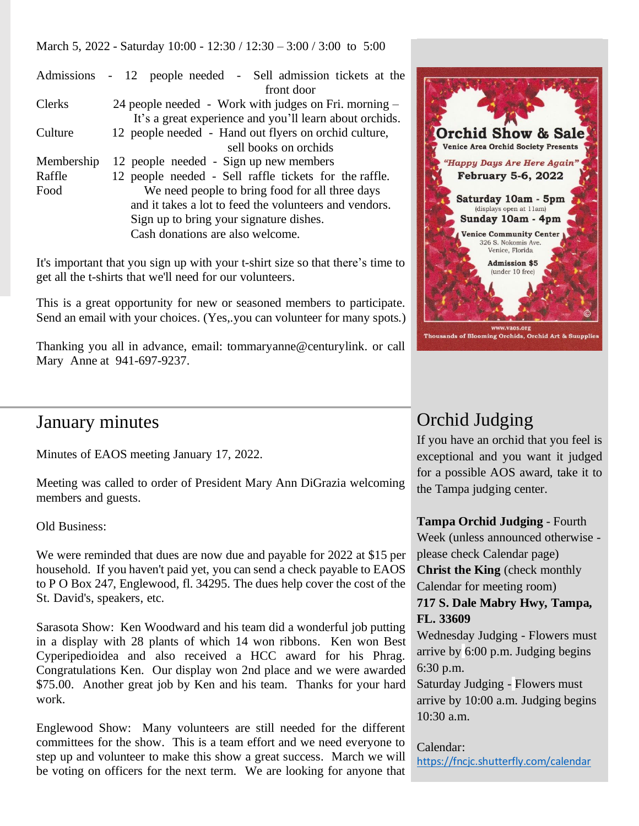March 5, 2022 - Saturday 10:00 - 12:30 / 12:30 – 3:00 / 3:00 to 5:00

|               | Admissions - 12 people needed - Sell admission tickets at the |  |  |  |
|---------------|---------------------------------------------------------------|--|--|--|
|               | front door                                                    |  |  |  |
| <b>Clerks</b> | 24 people needed - Work with judges on Fri. morning –         |  |  |  |
|               | It's a great experience and you'll learn about orchids.       |  |  |  |
| Culture       | 12 people needed - Hand out flyers on orchid culture,         |  |  |  |
|               | sell books on orchids                                         |  |  |  |
| Membership    | 12 people needed - Sign up new members                        |  |  |  |
| Raffle        | 12 people needed - Sell raffle tickets for the raffle.        |  |  |  |
| Food          | We need people to bring food for all three days               |  |  |  |
|               | and it takes a lot to feed the volunteers and vendors.        |  |  |  |
|               | Sign up to bring your signature dishes.                       |  |  |  |
|               | Cash donations are also welcome.                              |  |  |  |

It's important that you sign up with your t-shirt size so that there's time to get all the t-shirts that we'll need for our volunteers.

This is a great opportunity for new or seasoned members to participate. Send an email with your choices. (Yes,.you can volunteer for many spots.)

Thanking you all in advance, email: tommaryanne@centurylink. or call Mary Anne at 941-697-9237.



### January minutes

Minutes of EAOS meeting January 17, 2022.

Meeting was called to order of President Mary Ann DiGrazia welcoming members and guests.

Old Business:

We were reminded that dues are now due and payable for 2022 at \$15 per household. If you haven't paid yet, you can send a check payable to EAOS to P O Box 247, Englewood, fl. 34295. The dues help cover the cost of the St. David's, speakers, etc.

Sarasota Show: Ken Woodward and his team did a wonderful job putting in a display with 28 plants of which 14 won ribbons. Ken won Best Cyperipedioidea and also received a HCC award for his Phrag. Congratulations Ken. Our display won 2nd place and we were awarded \$75.00. Another great job by Ken and his team. Thanks for your hard work.

Englewood Show: Many volunteers are still needed for the different committees for the show. This is a team effort and we need everyone to step up and volunteer to make this show a great success. March we will be voting on officers for the next term. We are looking for anyone that

## Orchid Judging

If you have an orchid that you feel is exceptional and you want it judged for a possible AOS award, take it to the Tampa judging center.

**Tampa Orchid Judging** - Fourth Week (unless announced otherwise please check Calendar page) **Christ the King** (check monthly Calendar for meeting room)

#### **717 S. Dale Mabry Hwy, Tampa, FL. 33609**

Wednesday Judging - Flowers must arrive by 6:00 p.m. Judging begins 6:30 p.m.

Saturday Judging - Flowers must arrive by 10:00 a.m. Judging begins 10:30 a.m.

#### Calendar:

<https://fncjc.shutterfly.com/calendar>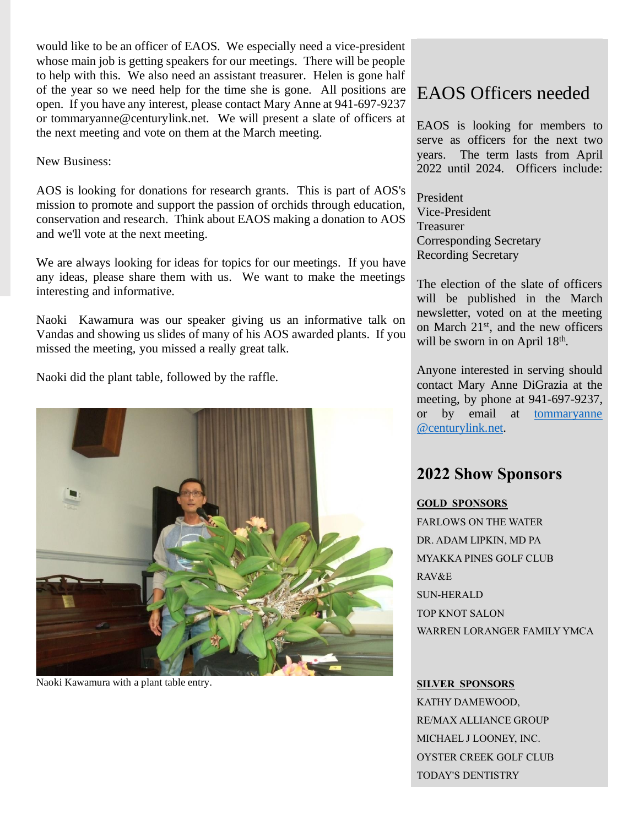would like to be an officer of EAOS. We especially need a vice-president whose main job is getting speakers for our meetings. There will be people to help with this. We also need an assistant treasurer. Helen is gone half of the year so we need help for the time she is gone. All positions are open. If you have any interest, please contact Mary Anne at 941-697-9237 or tommaryanne@centurylink.net. We will present a slate of officers at the next meeting and vote on them at the March meeting.

New Business:

AOS is looking for donations for research grants. This is part of AOS's mission to promote and support the passion of orchids through education, conservation and research. Think about EAOS making a donation to AOS and we'll vote at the next meeting.

We are always looking for ideas for topics for our meetings. If you have any ideas, please share them with us. We want to make the meetings interesting and informative.

Naoki Kawamura was our speaker giving us an informative talk on Vandas and showing us slides of many of his AOS awarded plants. If you missed the meeting, you missed a really great talk.

Naoki did the plant table, followed by the raffle.



Naoki Kawamura with a plant table entry.

### EAOS Officers needed

EAOS is looking for members to serve as officers for the next two years. The term lasts from April 2022 until 2024. Officers include:

President Vice-President Treasurer Corresponding Secretary Recording Secretary

The election of the slate of officers will be published in the March newsletter, voted on at the meeting on March 21<sup>st</sup>, and the new officers will be sworn in on April 18<sup>th</sup>.

Anyone interested in serving should contact Mary Anne DiGrazia at the meeting, by phone at 941-697-9237, or by email at [tommaryanne](mailto:tommaryanne@centurylink.net) [@centurylink.net.](mailto:tommaryanne@centurylink.net)

#### **2022 Show Sponsors**

#### **GOLD SPONSORS**

FARLOWS ON THE WATER DR. ADAM LIPKIN, MD PA MYAKKA PINES GOLF CLUB RAV&E SUN-HERALD TOP KNOT SALON WARREN LORANGER FAMILY YMCA

#### **SILVER SPONSORS**

KATHY DAMEWOOD, RE/MAX ALLIANCE GROUP MICHAEL J LOONEY, INC. OYSTER CREEK GOLF CLUB TODAY'S DENTISTRY